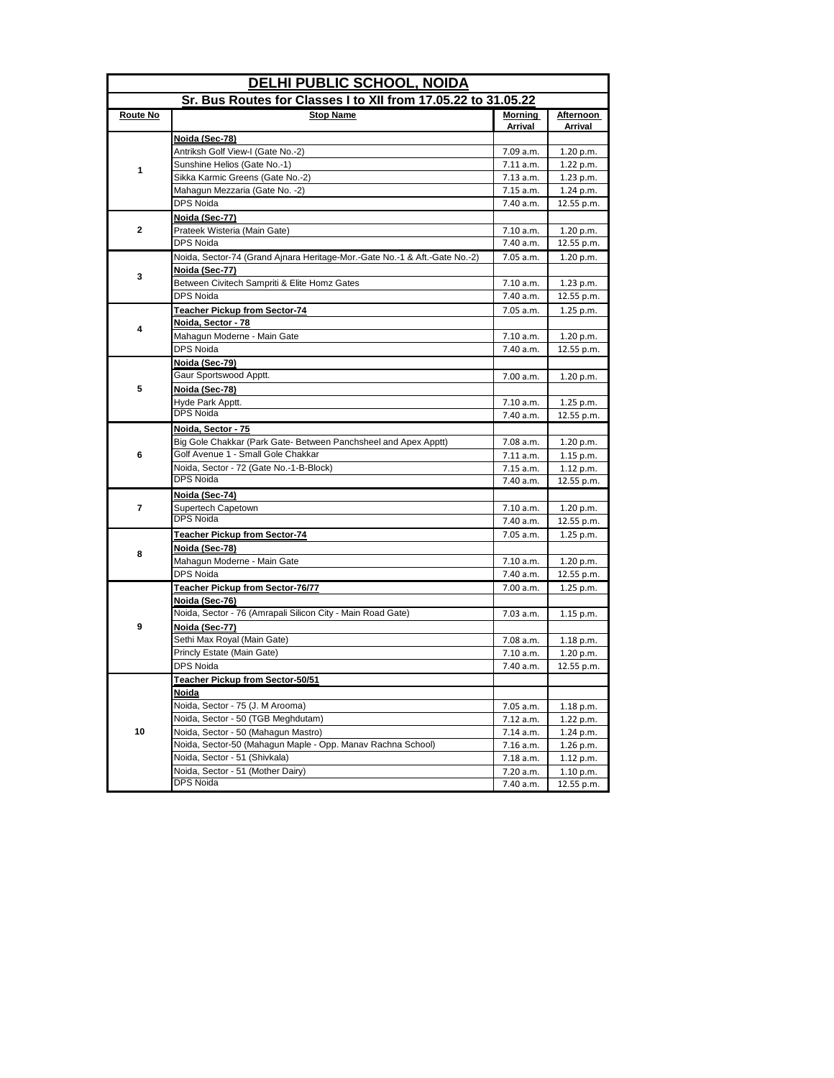| <b>DELHI PUBLIC SCHOOL, NOIDA</b> |                                                                            |           |            |
|-----------------------------------|----------------------------------------------------------------------------|-----------|------------|
|                                   | Sr. Bus Routes for Classes I to XII from 17.05.22 to 31.05.22              |           |            |
| Route No                          | <b>Stop Name</b>                                                           | Morning   | Afternoon  |
|                                   | Noida (Sec-78)                                                             | Arrival   | Arrival    |
|                                   | Antriksh Golf View-I (Gate No.-2)                                          | 7.09 a.m. | 1.20 p.m.  |
|                                   | Sunshine Helios (Gate No.-1)                                               | 7.11 a.m. | 1.22 p.m.  |
| 1                                 | Sikka Karmic Greens (Gate No.-2)                                           | 7.13 a.m. | 1.23 p.m.  |
|                                   | Mahagun Mezzaria (Gate No. -2)                                             | 7.15 a.m. | 1.24 p.m.  |
|                                   | <b>DPS Noida</b>                                                           | 7.40 a.m. | 12.55 p.m. |
|                                   | Noida (Sec-77)                                                             |           |            |
| $\mathbf{2}$                      | Prateek Wisteria (Main Gate)                                               | 7.10 a.m. | 1.20 p.m.  |
|                                   | <b>DPS Noida</b>                                                           | 7.40 a.m. | 12.55 p.m. |
|                                   | Noida, Sector-74 (Grand Ajnara Heritage-Mor.-Gate No.-1 & Aft.-Gate No.-2) | 7.05 a.m. | 1.20 p.m.  |
|                                   | Noida (Sec-77)                                                             |           |            |
| 3                                 | Between Civitech Sampriti & Elite Homz Gates                               | 7.10 a.m. | 1.23 p.m.  |
|                                   | <b>DPS Noida</b>                                                           | 7.40 a.m. | 12.55 p.m. |
|                                   | Teacher Pickup from Sector-74                                              | 7.05 a.m. | 1.25 p.m.  |
|                                   | Noida, Sector - 78                                                         |           |            |
| 4                                 | Mahagun Moderne - Main Gate                                                | 7.10 a.m. | 1.20 p.m.  |
|                                   | DPS Noida                                                                  | 7.40 a.m. | 12.55 p.m. |
|                                   | Noida (Sec-79)                                                             |           |            |
|                                   | Gaur Sportswood Apptt.                                                     | 7.00 a.m. | 1.20 p.m.  |
| 5                                 | Noida (Sec-78)                                                             |           |            |
|                                   | Hyde Park Apptt.                                                           | 7.10 a.m. | 1.25 p.m.  |
|                                   | <b>DPS Noida</b>                                                           | 7.40 a.m. | 12.55 p.m. |
|                                   | Noida, Sector - 75                                                         |           |            |
|                                   | Big Gole Chakkar (Park Gate- Between Panchsheel and Apex Apptt)            | 7.08 a.m. | 1.20 p.m.  |
| 6                                 | Golf Avenue 1 - Small Gole Chakkar                                         | 7.11 a.m. | 1.15 p.m.  |
|                                   | Noida, Sector - 72 (Gate No.-1-B-Block)                                    | 7.15 a.m. | 1.12 p.m.  |
|                                   | <b>DPS Noida</b>                                                           | 7.40 a.m. | 12.55 p.m. |
|                                   | Noida (Sec-74)                                                             |           |            |
| $\overline{7}$                    | Supertech Capetown                                                         | 7.10 a.m. | 1.20 p.m.  |
|                                   | <b>DPS Noida</b>                                                           | 7.40 a.m. | 12.55 p.m. |
|                                   | <b>Teacher Pickup from Sector-74</b>                                       | 7.05 a.m. | 1.25 p.m.  |
|                                   | Noida (Sec-78)                                                             |           |            |
| 8                                 | Mahagun Moderne - Main Gate                                                | 7.10 a.m. | 1.20 p.m.  |
|                                   | <b>DPS Noida</b>                                                           | 7.40 a.m. | 12.55 p.m. |
|                                   | Teacher Pickup from Sector-76/77                                           | 7.00 a.m. | 1.25 p.m.  |
|                                   | Noida (Sec-76)                                                             |           |            |
|                                   | Noida, Sector - 76 (Amrapali Silicon City - Main Road Gate)                | 7.03 a.m. | 1.15 p.m.  |
| 9                                 | Noida (Sec-77)                                                             |           |            |
|                                   | Sethi Max Royal (Main Gate)                                                | 7.08 a.m. | 1.18 p.m.  |
|                                   | Princly Estate (Main Gate)                                                 | 7.10 a.m. | 1.20 p.m.  |
|                                   | <b>DPS Noida</b>                                                           | 7.40 a.m. | 12.55 p.m. |
|                                   | Teacher Pickup from Sector-50/51                                           |           |            |
|                                   | Noida                                                                      |           |            |
|                                   | Noida, Sector - 75 (J. M Arooma)                                           | 7.05 a.m. | 1.18 p.m.  |
|                                   | Noida, Sector - 50 (TGB Meghdutam)                                         | 7.12 a.m. | 1.22 p.m.  |
| 10                                | Noida, Sector - 50 (Mahagun Mastro)                                        | 7.14 a.m. | 1.24 p.m.  |
|                                   | Noida, Sector-50 (Mahagun Maple - Opp. Manav Rachna School)                | 7.16 a.m. | 1.26 p.m.  |
|                                   | Noida, Sector - 51 (Shivkala)                                              | 7.18 a.m. | 1.12 p.m.  |
|                                   | Noida, Sector - 51 (Mother Dairy)                                          | 7.20 a.m. | 1.10 p.m.  |
|                                   | DPS Noida                                                                  | 7.40 a.m. | 12.55 p.m. |
|                                   |                                                                            |           |            |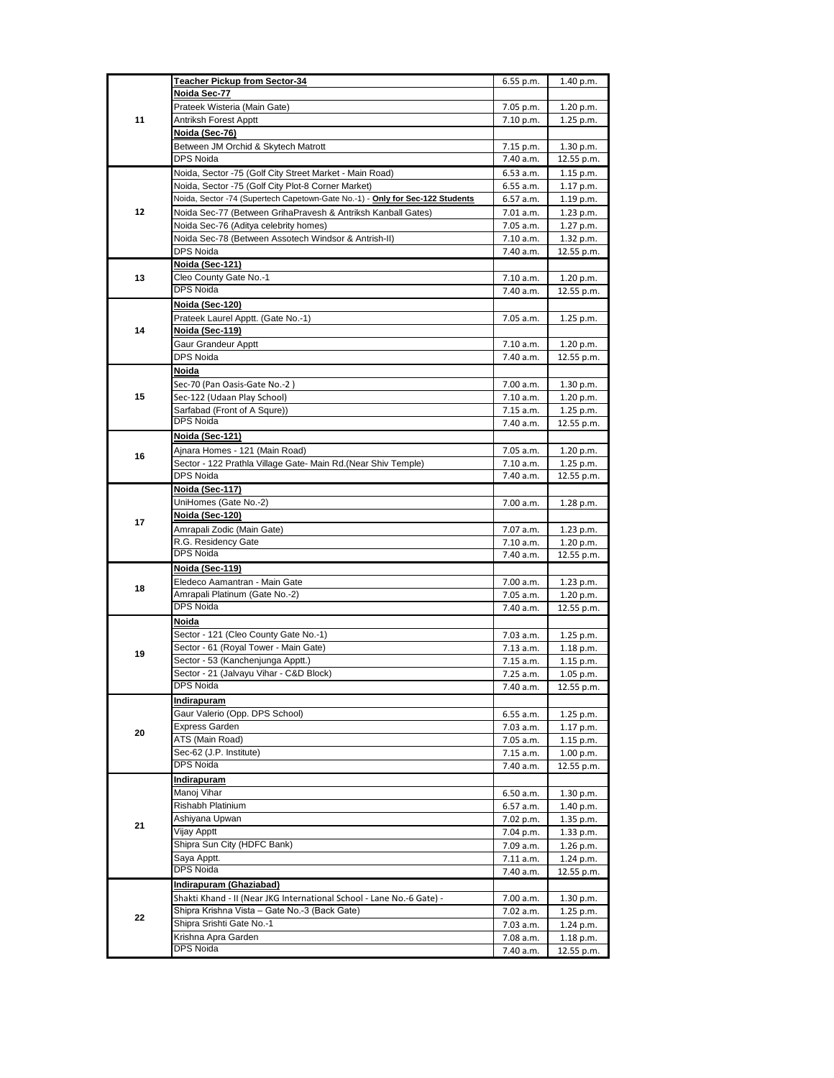|    | <b>Teacher Pickup from Sector-34</b>                                          | 6.55 p.m.              | 1.40 p.m.              |
|----|-------------------------------------------------------------------------------|------------------------|------------------------|
|    | Noida Sec-77                                                                  |                        |                        |
|    | Prateek Wisteria (Main Gate)                                                  | 7.05 p.m.              | 1.20 p.m.              |
| 11 | Antriksh Forest Apptt                                                         | 7.10 p.m.              | 1.25 p.m.              |
|    | Noida (Sec-76)                                                                |                        |                        |
|    | Between JM Orchid & Skytech Matrott                                           | 7.15 p.m.              | 1.30 p.m.              |
|    | <b>DPS Noida</b>                                                              | 7.40 a.m.              | 12.55 p.m.             |
|    | Noida, Sector -75 (Golf City Street Market - Main Road)                       | 6.53 a.m.              | 1.15 p.m.              |
|    | Noida, Sector -75 (Golf City Plot-8 Corner Market)                            | 6.55 a.m.              | 1.17 p.m.              |
|    | Noida, Sector -74 (Supertech Capetown-Gate No.-1) - Only for Sec-122 Students | 6.57 a.m.              | 1.19 p.m.              |
| 12 | Noida Sec-77 (Between GrihaPravesh & Antriksh Kanball Gates)                  | 7.01 a.m.              | 1.23 p.m.              |
|    | Noida Sec-76 (Aditya celebrity homes)                                         | 7.05 a.m.              | 1.27 p.m.              |
|    | Noida Sec-78 (Between Assotech Windsor & Antrish-II)                          | 7.10 a.m.              | 1.32 p.m.              |
|    | DPS Noida                                                                     | 7.40 a.m.              | 12.55 p.m.             |
|    | Noida (Sec-121)                                                               |                        |                        |
| 13 | Cleo County Gate No.-1                                                        | 7.10 a.m.              | 1.20 p.m.              |
|    | <b>DPS Noida</b>                                                              | 7.40 a.m.              | 12.55 p.m.             |
|    | Noida (Sec-120)                                                               |                        |                        |
|    | Prateek Laurel Apptt. (Gate No.-1)                                            | 7.05 a.m.              | 1.25 p.m.              |
| 14 | Noida (Sec-119)                                                               |                        |                        |
|    | Gaur Grandeur Apptt                                                           | 7.10 a.m.              | 1.20 p.m.              |
|    | <b>DPS Noida</b>                                                              | 7.40 a.m.              | 12.55 p.m.             |
|    | Noida                                                                         |                        |                        |
|    | Sec-70 (Pan Oasis-Gate No.-2)                                                 | 7.00 a.m.              | 1.30 p.m.              |
| 15 | Sec-122 (Udaan Play School)                                                   | 7.10 a.m.              | 1.20 p.m.              |
|    | Sarfabad (Front of A Squre))                                                  | 7.15 a.m.              | 1.25 p.m.              |
|    | DPS Noida                                                                     | 7.40 a.m.              | 12.55 p.m.             |
|    | <b>Noida (Sec-121)</b>                                                        |                        |                        |
|    | Ajnara Homes - 121 (Main Road)                                                | 7.05 a.m.              | 1.20 p.m.              |
| 16 | Sector - 122 Prathla Village Gate- Main Rd.(Near Shiv Temple)                 | 7.10 a.m.              | 1.25 p.m.              |
|    | DPS Noida                                                                     | 7.40 a.m.              | 12.55 p.m.             |
|    | Noida (Sec-117)                                                               |                        |                        |
|    | UniHomes (Gate No.-2)                                                         | 7.00 a.m.              | 1.28 p.m.              |
|    | Noida (Sec-120)                                                               |                        |                        |
| 17 | Amrapali Zodic (Main Gate)                                                    | 7.07 a.m.              | 1.23 p.m.              |
|    | R.G. Residency Gate                                                           | 7.10 a.m.              | 1.20 p.m.              |
|    | <b>DPS Noida</b>                                                              | 7.40 a.m.              | 12.55 p.m.             |
|    | Noida (Sec-119)                                                               |                        |                        |
|    | Eledeco Aamantran - Main Gate                                                 | 7.00 a.m.              | $1.23$ p.m.            |
| 18 | Amrapali Platinum (Gate No.-2)                                                | 7.05 a.m.              | 1.20 p.m.              |
|    | <b>DPS Noida</b>                                                              | 7.40 a.m.              | 12.55 p.m.             |
|    | Noida                                                                         |                        |                        |
|    | Sector - 121 (Cleo County Gate No.-1)                                         |                        | 1.25 p.m.              |
|    | Sector - 61 (Royal Tower - Main Gate)                                         | 7.03 a.m.              |                        |
| 19 | Sector - 53 (Kanchenjunga Apptt.)                                             | 7.13 a.m.              | 1.18 p.m.              |
|    | Sector - 21 (Jalvayu Vihar - C&D Block)                                       | 7.15 a.m.              | 1.15 p.m.              |
|    | DPS Noida                                                                     | 7.25 a.m.              | 1.05 p.m.              |
|    |                                                                               | 7.40 a.m.              | 12.55 p.m.             |
|    | Indirapuram<br>Gaur Valerio (Opp. DPS School)                                 |                        |                        |
|    | <b>Express Garden</b>                                                         | 6.55 a.m.              | 1.25 p.m.              |
| 20 | ATS (Main Road)                                                               | 7.03 a.m.<br>7.05 a.m. | 1.17 p.m.<br>1.15 p.m. |
|    | Sec-62 (J.P. Institute)                                                       | 7.15 a.m.              | 1.00 p.m.              |
|    | <b>DPS Noida</b>                                                              | 7.40 a.m.              | 12.55 p.m.             |
|    | Indirapuram                                                                   |                        |                        |
| 21 | Manoj Vihar                                                                   | 6.50 a.m.              | 1.30 p.m.              |
|    | Rishabh Platinium                                                             | 6.57 a.m.              | 1.40 p.m.              |
|    | Ashiyana Upwan                                                                | 7.02 p.m.              | 1.35 p.m.              |
|    | Vijay Apptt                                                                   | 7.04 p.m.              | 1.33 p.m.              |
|    | Shipra Sun City (HDFC Bank)                                                   | 7.09 a.m.              | $1.26$ p.m.            |
|    | Saya Apptt.                                                                   | 7.11 a.m.              | 1.24 p.m.              |
|    |                                                                               |                        |                        |
|    | <b>DPS Noida</b>                                                              |                        |                        |
|    |                                                                               | 7.40 a.m.              | 12.55 p.m.             |
|    | Indirapuram (Ghaziabad)                                                       |                        |                        |
|    | Shakti Khand - II (Near JKG International School - Lane No.-6 Gate) -         | 7.00 a.m.              | 1.30 p.m.              |
| 22 | Shipra Krishna Vista - Gate No.-3 (Back Gate)<br>Shipra Srishti Gate No.-1    | 7.02 a.m.              | 1.25 p.m.              |
|    | Krishna Apra Garden                                                           | 7.03 a.m.<br>7.08 a.m. | 1.24 p.m.<br>1.18 p.m. |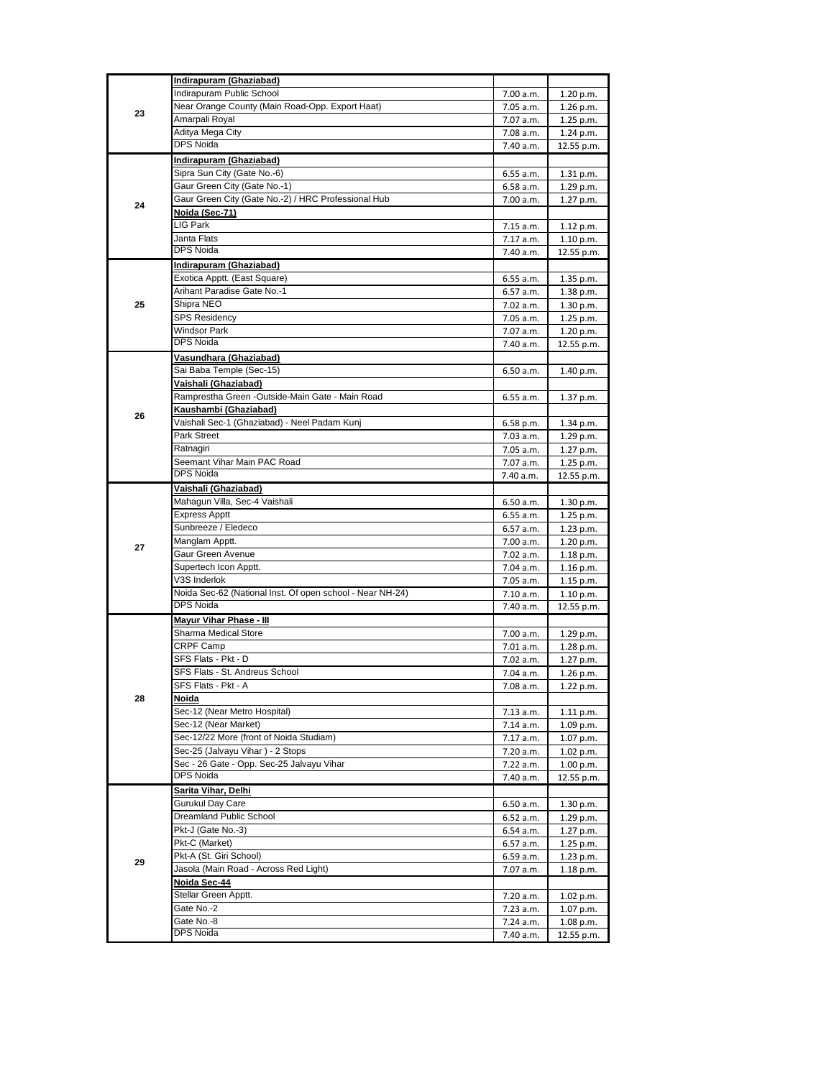|    | Indirapuram (Ghaziabad)                                   |           |            |
|----|-----------------------------------------------------------|-----------|------------|
|    | Indirapuram Public School                                 |           | 1.20 p.m.  |
|    |                                                           | 7.00 a.m. |            |
| 23 | Near Orange County (Main Road-Opp. Export Haat)           | 7.05 a.m. | 1.26 p.m.  |
|    | Amarpali Royal                                            | 7.07 a.m. | 1.25 p.m.  |
|    | Aditya Mega City                                          | 7.08 a.m. | 1.24 p.m.  |
|    | <b>DPS Noida</b>                                          | 7.40 a.m. | 12.55 p.m. |
|    | Indirapuram (Ghaziabad)                                   |           |            |
|    |                                                           |           |            |
|    | Sipra Sun City (Gate No.-6)                               | 6.55 a.m. | 1.31 p.m.  |
|    | Gaur Green City (Gate No.-1)                              | 6.58 a.m. | 1.29 p.m.  |
| 24 | Gaur Green City (Gate No.-2) / HRC Professional Hub       | 7.00 a.m. | 1.27 p.m.  |
|    | Noida (Sec-71)                                            |           |            |
|    | LIG Park                                                  | 7.15 a.m. | 1.12 p.m.  |
|    | Janta Flats                                               | 7.17 a.m. |            |
|    | <b>DPS Noida</b>                                          |           | 1.10 p.m.  |
|    |                                                           | 7.40 a.m. | 12.55 p.m. |
|    | Indirapuram (Ghaziabad)                                   |           |            |
|    | Exotica Apptt. (East Square)                              | 6.55 a.m. | 1.35 p.m.  |
|    | Arihant Paradise Gate No.-1                               | 6.57 a.m. | 1.38 p.m.  |
| 25 | Shipra NEO                                                | 7.02 a.m. |            |
|    |                                                           |           | 1.30 p.m.  |
|    | <b>SPS Residency</b>                                      | 7.05 a.m. | 1.25 p.m.  |
|    | <b>Windsor Park</b>                                       | 7.07 a.m. | 1.20 p.m.  |
|    | <b>DPS Noida</b>                                          | 7.40 a.m. | 12.55 p.m. |
|    | Vasundhara (Ghaziabad)                                    |           |            |
|    | Sai Baba Temple (Sec-15)                                  | 6.50 a.m. | 1.40 p.m.  |
|    |                                                           |           |            |
|    | Vaishali (Ghaziabad)                                      |           |            |
|    | Ramprestha Green -Outside-Main Gate - Main Road           | 6.55 a.m. | 1.37 p.m.  |
|    | Kaushambi (Ghaziabad)                                     |           |            |
| 26 | Vaishali Sec-1 (Ghaziabad) - Neel Padam Kunj              | 6.58 p.m. | 1.34 p.m.  |
|    | Park Street                                               | 7.03 a.m. | 1.29 p.m.  |
|    |                                                           | 7.05 a.m. |            |
|    | Ratnagiri                                                 |           | 1.27 p.m.  |
|    | Seemant Vihar Main PAC Road                               | 7.07 a.m. | 1.25 p.m.  |
|    | <b>DPS Noida</b>                                          | 7.40 a.m. | 12.55 p.m. |
|    | Vaishali (Ghaziabad)                                      |           |            |
|    | Mahagun Villa, Sec-4 Vaishali                             | 6.50 a.m. | 1.30 p.m.  |
|    | <b>Express Apptt</b>                                      | 6.55 a.m. | 1.25 p.m.  |
|    |                                                           |           |            |
|    | Sunbreeze / Eledeco                                       | 6.57 a.m. | 1.23 p.m.  |
| 27 | Manglam Apptt.                                            | 7.00 a.m. | 1.20 p.m.  |
|    | Gaur Green Avenue                                         | 7.02 a.m. | 1.18 p.m.  |
|    | Supertech Icon Apptt.                                     | 7.04 a.m. | 1.16 p.m.  |
|    | V3S Inderlok                                              | 7.05 a.m. | 1.15 p.m.  |
|    | Noida Sec-62 (National Inst. Of open school - Near NH-24) |           |            |
|    |                                                           | 7.10 a.m. | 1.10 p.m.  |
|    | DPS Noida                                                 | 7.40 a.m. | 12.55 p.m. |
|    | <b>Mayur Vihar Phase - Ill</b>                            |           |            |
|    | Sharma Medical Store                                      | 7.00 a.m. | 1.29 p.m.  |
|    | <b>CRPF Camp</b>                                          | 7.01 a.m. | 1.28 p.m.  |
|    | SFS Flats - Pkt - D                                       | 7.02 a.m. | 1.27 p.m.  |
|    |                                                           |           |            |
|    | SFS Flats - St. Andreus School                            | 7.04 a.m. | 1.26 p.m.  |
|    | SFS Flats - Pkt - A                                       | 7.08 a.m. | 1.22 p.m.  |
| 28 | Noida                                                     |           |            |
|    | Sec-12 (Near Metro Hospital)                              | 7.13 a.m. | 1.11 p.m.  |
|    | Sec-12 (Near Market)                                      | 7.14 a.m. | 1.09 p.m.  |
|    | Sec-12/22 More (front of Noida Studiam)                   |           |            |
|    |                                                           | 7.17 a.m. | 1.07 p.m.  |
|    | Sec-25 (Jalvayu Vihar) - 2 Stops                          | 7.20 a.m. | 1.02 p.m.  |
|    | Sec - 26 Gate - Opp. Sec-25 Jalvayu Vihar                 | 7.22 a.m. | 1.00 p.m.  |
|    | DPS Noida                                                 | 7.40 a.m. | 12.55 p.m. |
|    | Sarita Vihar, Delhi                                       |           |            |
| 29 | Gurukul Day Care                                          | 6.50 a.m. | 1.30 p.m.  |
|    |                                                           |           |            |
|    | Dreamland Public School                                   | 6.52 a.m. | 1.29 p.m.  |
|    | Pkt-J (Gate No.-3)                                        | 6.54 a.m. | 1.27 p.m.  |
|    | Pkt-C (Market)                                            | 6.57 a.m. | 1.25 p.m.  |
|    | Pkt-A (St. Giri School)                                   | 6.59 a.m. | 1.23 p.m.  |
|    | Jasola (Main Road - Across Red Light)                     | 7.07 a.m. | 1.18 p.m.  |
|    |                                                           |           |            |
|    | <u>Noida Sec-44</u>                                       |           |            |
|    | Stellar Green Apptt.                                      | 7.20 a.m. | 1.02 p.m.  |
|    | Gate No.-2                                                | 7.23 a.m. | 1.07 p.m.  |
|    | Gate No.-8                                                | 7.24 a.m. | 1.08 p.m.  |
|    | DPS Noida                                                 | 7.40 a.m. | 12.55 p.m. |
|    |                                                           |           |            |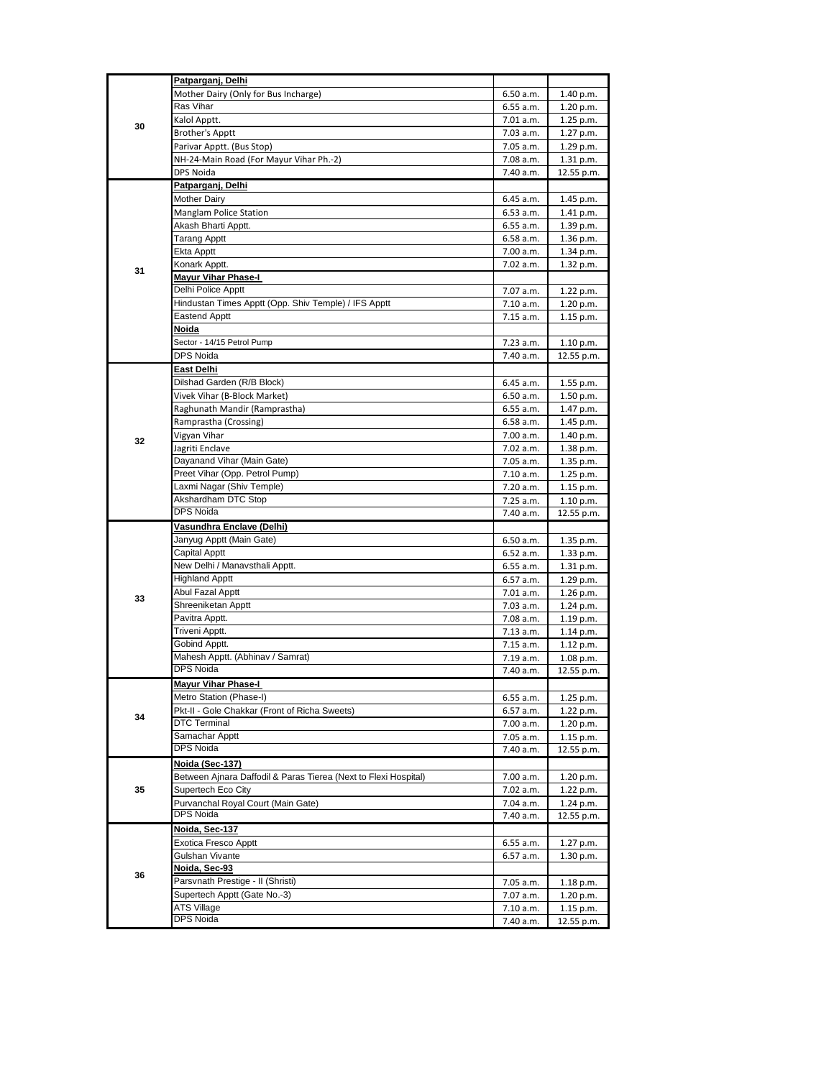| 30 | Patparganj, Delhi                                                    |                        |                         |
|----|----------------------------------------------------------------------|------------------------|-------------------------|
|    | Mother Dairy (Only for Bus Incharge)                                 | 6.50 a.m.              | 1.40 p.m.               |
|    | Ras Vihar                                                            | 6.55 a.m.              | 1.20 p.m.               |
|    | Kalol Apptt.                                                         | 7.01 a.m.              | 1.25 p.m.               |
|    | <b>Brother's Apptt</b>                                               | 7.03 a.m.              | 1.27 p.m.               |
|    | Parivar Apptt. (Bus Stop)                                            | 7.05 a.m.              | 1.29 p.m.               |
|    | NH-24-Main Road (For Mayur Vihar Ph.-2)                              | 7.08 a.m.              | 1.31 p.m.               |
|    | DPS Noida                                                            | 7.40 a.m.              | 12.55 p.m.              |
|    | Patparganj, Delhi                                                    |                        |                         |
|    | Mother Dairy                                                         | 6.45 a.m.              | 1.45 p.m.               |
|    | Manglam Police Station                                               | 6.53 a.m.              | 1.41 p.m.               |
|    | Akash Bharti Apptt.                                                  | 6.55 a.m.              | 1.39 p.m.               |
|    | <b>Tarang Apptt</b>                                                  | 6.58 a.m.              | 1.36 p.m.               |
|    | Ekta Apptt<br>Konark Apptt.                                          | 7.00 a.m.<br>7.02 a.m. | 1.34 p.m.               |
| 31 | <b>Mayur Vihar Phase-I</b>                                           |                        | 1.32 p.m.               |
|    | Delhi Police Apptt                                                   | 7.07 a.m.              | 1.22 p.m.               |
|    | Hindustan Times Apptt (Opp. Shiv Temple) / IFS Apptt                 | 7.10 a.m.              | 1.20 p.m.               |
|    | Eastend Apptt                                                        | 7.15 a.m.              | 1.15 p.m.               |
|    | Noida                                                                |                        |                         |
|    | Sector - 14/15 Petrol Pump                                           | 7.23 a.m.              | 1.10 p.m.               |
|    | DPS Noida                                                            | 7.40 a.m.              | 12.55 p.m.              |
|    | East Delhi                                                           |                        |                         |
|    | Dilshad Garden (R/B Block)                                           | 6.45 a.m.              | 1.55 p.m.               |
|    | Vivek Vihar (B-Block Market)                                         | 6.50 a.m.              | 1.50 p.m.               |
|    | Raghunath Mandir (Ramprastha)                                        | 6.55 a.m.              | 1.47 p.m.               |
|    | Ramprastha (Crossing)                                                | 6.58 a.m.              | 1.45 p.m.               |
| 32 | Vigyan Vihar                                                         | 7.00 a.m.              | 1.40 p.m.               |
|    | Jagriti Enclave                                                      | 7.02 a.m.              | 1.38 p.m.               |
|    | Dayanand Vihar (Main Gate)                                           | 7.05 a.m.              | 1.35 p.m.               |
|    | Preet Vihar (Opp. Petrol Pump)                                       | 7.10 a.m.              | 1.25 p.m.               |
|    | Laxmi Nagar (Shiv Temple)<br>Akshardham DTC Stop                     | 7.20 a.m.              | 1.15 p.m.               |
|    | <b>DPS Noida</b>                                                     | 7.25 a.m.<br>7.40 a.m. | 1.10 p.m.<br>12.55 p.m. |
|    | Vasundhra Enclave (Delhi)                                            |                        |                         |
|    | Janyug Apptt (Main Gate)                                             | 6.50 a.m.              | 1.35 p.m.               |
|    | Capital Apptt                                                        | 6.52 a.m.              | 1.33 p.m.               |
|    | New Delhi / Manavsthali Apptt.                                       | 6.55 a.m.              | 1.31 p.m.               |
|    | <b>Highland Apptt</b>                                                | 6.57 a.m.              | 1.29 p.m.               |
| 33 | Abul Fazal Apptt                                                     | 7.01 a.m.              | 1.26 p.m.               |
|    | Shreeniketan Apptt                                                   | 7.03 a.m.              | 1.24 p.m.               |
|    | Pavitra Apptt.                                                       | 7.08 a.m.              | 1.19 p.m.               |
|    | Triveni Apptt.                                                       | 7.13 a.m.              | 1.14 p.m.               |
|    | Gobind Apptt.                                                        | 7.15 a.m.              | 1.12 p.m.               |
|    | Mahesh Apptt. (Abhinav / Samrat)                                     | 7.19 a.m.              | 1.08 p.m.               |
|    | DPS Noida                                                            | 7.40 a.m.              | 12.55 p.m.              |
|    | <b>Mayur Vihar Phase-I</b>                                           |                        |                         |
|    | Metro Station (Phase-I)                                              | 6.55 a.m.              | 1.25 p.m.               |
| 34 | Pkt-II - Gole Chakkar (Front of Richa Sweets)<br><b>DTC Terminal</b> | 6.57 a.m.<br>7.00 a.m. | 1.22 p.m.               |
|    | Samachar Apptt                                                       | 7.05 a.m.              | 1.20 p.m.<br>1.15 p.m.  |
|    | DPS Noida                                                            | 7.40 a.m.              | 12.55 p.m.              |
|    | <u> Noida (Sec-137)</u>                                              |                        |                         |
| 35 | Between Ajnara Daffodil & Paras Tierea (Next to Flexi Hospital)      | 7.00 a.m.              | 1.20 p.m.               |
|    | Supertech Eco City                                                   | 7.02 a.m.              | 1.22 p.m.               |
|    | Purvanchal Royal Court (Main Gate)                                   | 7.04 a.m.              | 1.24 p.m.               |
|    | DPS Noida                                                            | 7.40 a.m.              | 12.55 p.m.              |
| 36 | <u>Noida, Sec-137</u>                                                |                        |                         |
|    | Exotica Fresco Apptt                                                 | 6.55 a.m.              | 1.27 p.m.               |
|    | Gulshan Vivante                                                      | 6.57 a.m.              | 1.30 p.m.               |
|    | Noida, Sec-93                                                        |                        |                         |
|    | Parsvnath Prestige - II (Shristi)                                    | 7.05 a.m.              | 1.18 p.m.               |
|    | Supertech Apptt (Gate No.-3)                                         | 7.07 a.m.              | 1.20 p.m.               |
|    | <b>ATS Village</b><br><b>DPS Noida</b>                               | 7.10 a.m.              | 1.15 p.m.               |
|    |                                                                      | 7.40 a.m.              | 12.55 p.m.              |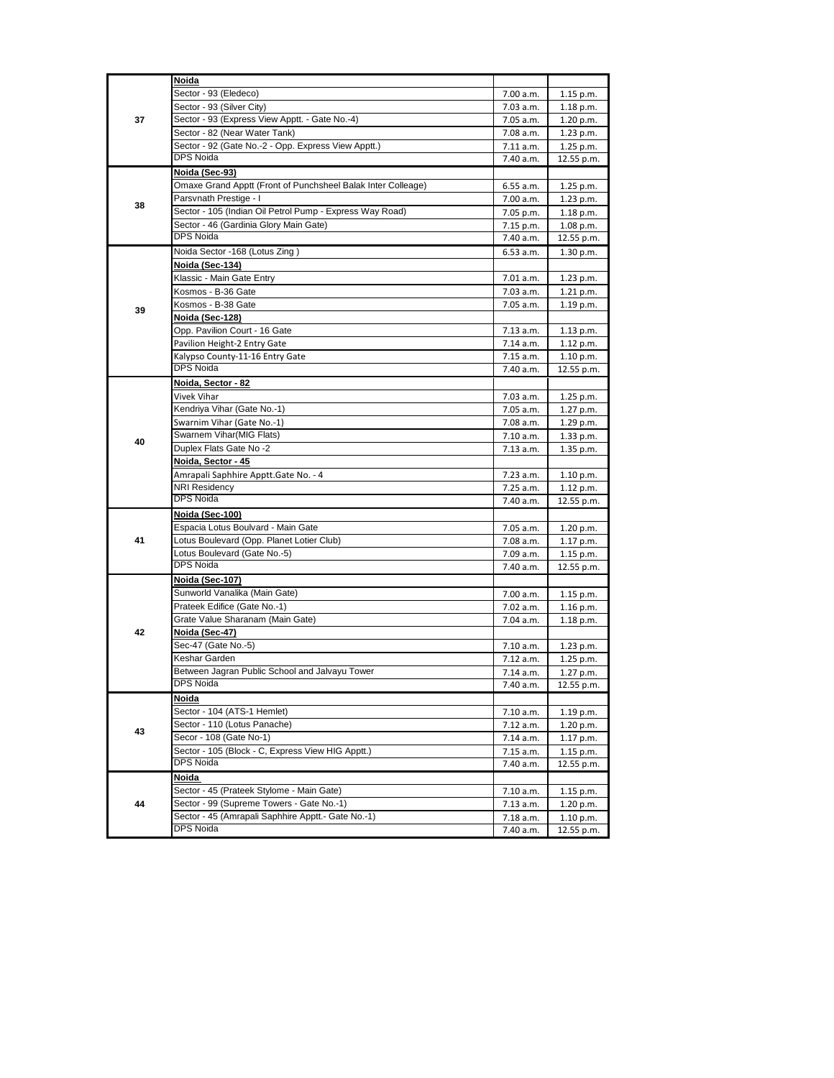| 37 | Noida                                                        |           |             |
|----|--------------------------------------------------------------|-----------|-------------|
|    | Sector - 93 (Eledeco)                                        | 7.00 a.m. | 1.15 p.m.   |
|    | Sector - 93 (Silver City)                                    | 7.03 a.m. | 1.18 p.m.   |
|    | Sector - 93 (Express View Apptt. - Gate No.-4)               | 7.05 a.m. | 1.20 p.m.   |
|    | Sector - 82 (Near Water Tank)                                | 7.08 a.m. | 1.23 p.m.   |
|    | Sector - 92 (Gate No.-2 - Opp. Express View Apptt.)          | 7.11 a.m. | 1.25 p.m.   |
|    | <b>DPS Noida</b>                                             | 7.40 a.m. | 12.55 p.m.  |
|    | Noida (Sec-93)                                               |           |             |
|    | Omaxe Grand Apptt (Front of Punchsheel Balak Inter Colleage) | 6.55 a.m. | 1.25 p.m.   |
|    | Parsvnath Prestige - I                                       | 7.00 a.m. | 1.23 p.m.   |
| 38 | Sector - 105 (Indian Oil Petrol Pump - Express Way Road)     | 7.05 p.m. | 1.18 p.m.   |
|    | Sector - 46 (Gardinia Glory Main Gate)                       | 7.15 p.m. | 1.08 p.m.   |
|    | <b>DPS Noida</b>                                             | 7.40 a.m. | 12.55 p.m.  |
|    | Noida Sector -168 (Lotus Zing)                               | 6.53 a.m. | 1.30 p.m.   |
|    | Noida (Sec-134)                                              |           |             |
|    | Klassic - Main Gate Entry                                    | 7.01 a.m. | 1.23 p.m.   |
|    | Kosmos - B-36 Gate                                           | 7.03 a.m. | 1.21 p.m.   |
|    | Kosmos - B-38 Gate                                           | 7.05 a.m. | 1.19 p.m.   |
| 39 | Noida (Sec-128)                                              |           |             |
|    | Opp. Pavilion Court - 16 Gate                                | 7.13 a.m. | 1.13 p.m.   |
|    | Pavilion Height-2 Entry Gate                                 | 7.14 a.m. | 1.12 p.m.   |
|    | Kalypso County-11-16 Entry Gate                              | 7.15 a.m. | 1.10 p.m.   |
|    | DPS Noida                                                    | 7.40 a.m. | 12.55 p.m.  |
|    | Noida, Sector - 82                                           |           |             |
|    | Vivek Vihar                                                  | 7.03 a.m. | 1.25 p.m.   |
|    | Kendriya Vihar (Gate No.-1)                                  | 7.05 a.m. | 1.27 p.m.   |
|    | Swarnim Vihar (Gate No.-1)                                   | 7.08 a.m. | 1.29 p.m.   |
|    | Swarnem Vihar(MIG Flats)                                     | 7.10 a.m. | 1.33 p.m.   |
| 40 | Duplex Flats Gate No -2                                      | 7.13 a.m. | 1.35 p.m.   |
|    | Noida, Sector - 45                                           |           |             |
|    | Amrapali Saphhire Apptt.Gate No. - 4                         | 7.23 a.m. | 1.10 p.m.   |
|    | <b>NRI Residency</b>                                         | 7.25 a.m. | 1.12 p.m.   |
|    | <b>DPS Noida</b>                                             | 7.40 a.m. | 12.55 p.m.  |
|    | Noida (Sec-100)                                              |           |             |
|    | Espacia Lotus Boulvard - Main Gate                           | 7.05 a.m. | 1.20 p.m.   |
| 41 | Lotus Boulevard (Opp. Planet Lotier Club)                    | 7.08 a.m. | 1.17 p.m.   |
|    | Lotus Boulevard (Gate No.-5)                                 | 7.09 a.m. | 1.15 p.m.   |
|    | <b>DPS Noida</b>                                             | 7.40 a.m. | 12.55 p.m.  |
|    | Noida (Sec-107)                                              |           |             |
|    | Sunworld Vanalika (Main Gate)                                | 7.00 a.m. | $1.15$ p.m. |
|    | Prateek Edifice (Gate No.-1)                                 | 7.02 a.m. | 1.16 p.m.   |
|    | Grate Value Sharanam (Main Gate)                             | 7.04 a.m. | 1.18 p.m.   |
| 42 | Noida (Sec-47)                                               |           |             |
|    | Sec-47 (Gate No.-5)                                          | 7.10 a.m. | 1.23 p.m.   |
|    | Keshar Garden                                                | 7.12 a.m. | 1.25 p.m.   |
|    | Between Jagran Public School and Jalvayu Tower               | 7.14 a.m. | 1.27 p.m.   |
|    | DPS Noida                                                    | 7.40 a.m. | 12.55 p.m.  |
|    | Noida                                                        |           |             |
|    | Sector - 104 (ATS-1 Hemlet)                                  | 7.10 a.m. | 1.19 p.m.   |
|    | Sector - 110 (Lotus Panache)                                 | 7.12 a.m. | 1.20 p.m.   |
| 43 | Secor - 108 (Gate No-1)                                      | 7.14 a.m. | 1.17 p.m.   |
|    | Sector - 105 (Block - C, Express View HIG Apptt.)            | 7.15 a.m. | 1.15 p.m.   |
|    | <b>DPS Noida</b>                                             | 7.40 a.m. | 12.55 p.m.  |
|    | Noida                                                        |           |             |
|    | Sector - 45 (Prateek Stylome - Main Gate)                    | 7.10 a.m. | 1.15 p.m.   |
| 44 | Sector - 99 (Supreme Towers - Gate No.-1)                    | 7.13 a.m. | 1.20 p.m.   |
|    | Sector - 45 (Amrapali Saphhire Apptt.- Gate No.-1)           | 7.18 a.m. | 1.10 p.m.   |
|    | DPS Noida                                                    | 7.40 a.m. | 12.55 p.m.  |
|    |                                                              |           |             |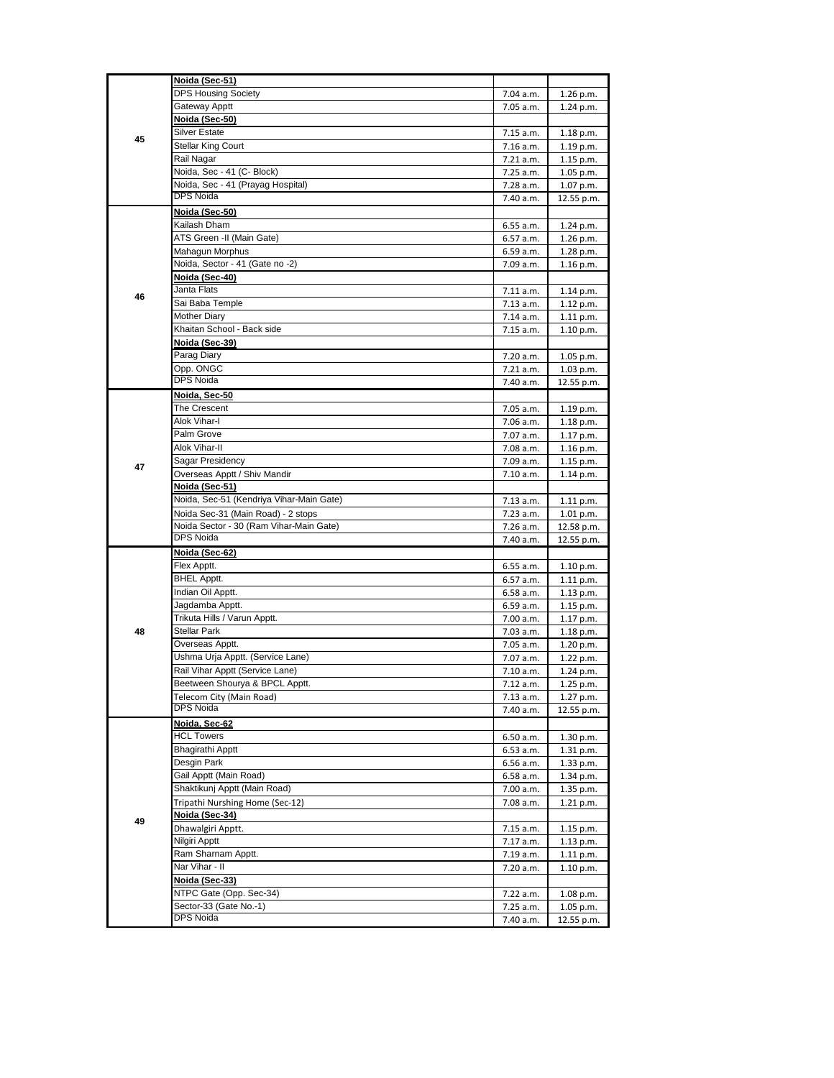| 45 | Noida (Sec-51)                                        |           |            |
|----|-------------------------------------------------------|-----------|------------|
|    | <b>DPS Housing Society</b>                            | 7.04 a.m. | 1.26 p.m.  |
|    | Gateway Apptt                                         | 7.05 a.m. | 1.24 p.m.  |
|    | Noida (Sec-50)                                        |           |            |
|    | Silver Estate                                         | 7.15 a.m. | 1.18 p.m.  |
|    | Stellar King Court                                    | 7.16 a.m. | 1.19 p.m.  |
|    | Rail Nagar                                            | 7.21 a.m. | 1.15 p.m.  |
|    | Noida, Sec - 41 (C- Block)                            | 7.25 a.m. | 1.05 p.m.  |
|    | Noida, Sec - 41 (Prayag Hospital)                     | 7.28 a.m. | 1.07 p.m.  |
|    | <b>DPS Noida</b>                                      | 7.40 a.m. | 12.55 p.m. |
|    | Noida (Sec-50)                                        |           |            |
|    | Kailash Dham                                          | 6.55 a.m. | 1.24 p.m.  |
|    | ATS Green -II (Main Gate)                             | 6.57 a.m. | 1.26 p.m.  |
|    | Mahagun Morphus                                       | 6.59 a.m. | 1.28 p.m.  |
|    | Noida, Sector - 41 (Gate no -2)                       | 7.09 a.m. | 1.16 p.m.  |
|    | Noida (Sec-40)                                        |           |            |
| 46 | Janta Flats                                           | 7.11 a.m. | 1.14 p.m.  |
|    | Sai Baba Temple                                       | 7.13 a.m. | 1.12 p.m.  |
|    | <b>Mother Diary</b>                                   | 7.14 a.m. | 1.11 p.m.  |
|    | Khaitan School - Back side                            | 7.15 a.m. | 1.10 p.m.  |
|    | Noida (Sec-39)                                        |           |            |
|    | Parag Diary                                           | 7.20 a.m. | 1.05 p.m.  |
|    | Opp. ONGC<br><b>DPS Noida</b>                         | 7.21 a.m. | 1.03 p.m.  |
|    |                                                       | 7.40 a.m. | 12.55 p.m. |
|    | Noida, Sec-50                                         |           |            |
|    | The Crescent                                          | 7.05 a.m. | 1.19 p.m.  |
|    | Alok Vihar-I<br>Palm Grove                            | 7.06 a.m. | 1.18 p.m.  |
|    | Alok Vihar-II                                         | 7.07 a.m. | 1.17 p.m.  |
|    |                                                       | 7.08 a.m. | 1.16 p.m.  |
| 47 | Sagar Presidency                                      | 7.09 a.m. | 1.15 p.m.  |
|    | Overseas Apptt / Shiv Mandir<br><u>Noida (Sec-51)</u> | 7.10 a.m. | 1.14 p.m.  |
|    | Noida, Sec-51 (Kendriya Vihar-Main Gate)              | 7.13 a.m. | 1.11 p.m.  |
|    | Noida Sec-31 (Main Road) - 2 stops                    | 7.23 a.m. | 1.01 p.m.  |
|    | Noida Sector - 30 (Ram Vihar-Main Gate)               | 7.26 a.m. | 12.58 p.m. |
|    | <b>DPS Noida</b>                                      | 7.40 a.m. | 12.55 p.m. |
|    | Noida (Sec-62)                                        |           |            |
|    | Flex Apptt.                                           | 6.55 a.m. | 1.10 p.m.  |
|    | <b>BHEL Apptt.</b>                                    | 6.57 a.m. | 1.11 p.m.  |
|    | Indian Oil Apptt.                                     | 6.58 a.m. | 1.13 p.m.  |
|    | Jagdamba Apptt.                                       | 6.59 a.m. | 1.15 p.m.  |
|    | Trikuta Hills / Varun Apptt.                          | 7.00 a.m. | 1.17 p.m.  |
| 48 | Stellar Park                                          | 7.03 a.m. | 1.18 p.m.  |
|    | Overseas Apptt.                                       | 7.05 a.m. | 1.20 p.m.  |
|    | Ushma Urja Apptt. (Service Lane)                      | 7.07 a.m. | 1.22 p.m.  |
|    | Rail Vihar Apptt (Service Lane)                       | 7.10 a.m. | 1.24 p.m.  |
|    | Beetween Shourya & BPCL Apptt.                        | 7.12 a.m. | 1.25 p.m.  |
|    | Telecom City (Main Road)                              | 7.13 a.m. | 1.27 p.m.  |
|    | <b>DPS Noida</b>                                      | 7.40 a.m. | 12.55 p.m. |
|    | Noida, Sec-62                                         |           |            |
|    | <b>HCL Towers</b>                                     | 6.50 a.m. | 1.30 p.m.  |
|    | Bhagirathi Apptt                                      | 6.53 a.m. | 1.31 p.m.  |
|    | Desgin Park                                           | 6.56 a.m. | 1.33 p.m.  |
|    | Gail Apptt (Main Road)                                | 6.58 a.m. | 1.34 p.m.  |
|    | Shaktikunj Apptt (Main Road)                          | 7.00 a.m. | 1.35 p.m.  |
| 49 | Tripathi Nurshing Home (Sec-12)                       | 7.08 a.m. | 1.21 p.m.  |
|    | Noida (Sec-34)                                        |           |            |
|    | Dhawalgiri Apptt.                                     | 7.15 a.m. | 1.15 p.m.  |
|    | Nilgiri Apptt                                         | 7.17 a.m. | 1.13 p.m.  |
|    | Ram Sharnam Apptt.                                    | 7.19 a.m. | 1.11 p.m.  |
|    | Nar Vihar - II                                        | 7.20 a.m. | 1.10 p.m.  |
|    | Noida (Sec-33)                                        |           |            |
|    | NTPC Gate (Opp. Sec-34)                               | 7.22 a.m. | 1.08 p.m.  |
|    | Sector-33 (Gate No.-1)                                | 7.25 a.m. | 1.05 p.m.  |
|    | DPS Noida                                             | 7.40 a.m. | 12.55 p.m. |